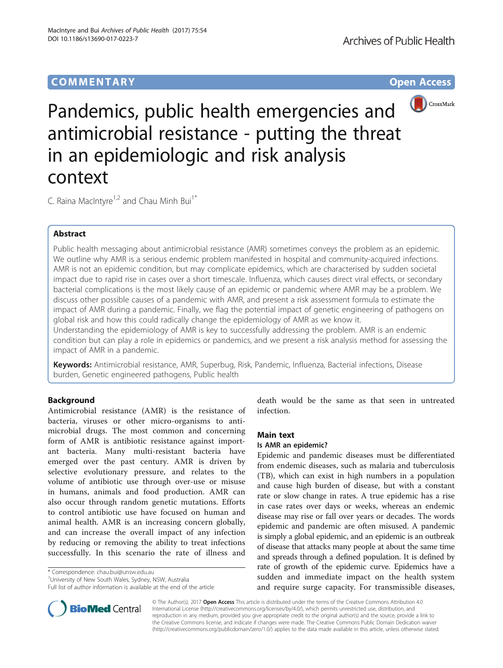# **COMMENTARY COMMENTARY Open Access**



Pandemics, public health emergencies and antimicrobial resistance - putting the threat in an epidemiologic and risk analysis context

C. Raina MacIntyre<sup>1,2</sup> and Chau Minh Bui<sup>1\*</sup>

# Abstract

Public health messaging about antimicrobial resistance (AMR) sometimes conveys the problem as an epidemic. We outline why AMR is a serious endemic problem manifested in hospital and community-acquired infections. AMR is not an epidemic condition, but may complicate epidemics, which are characterised by sudden societal impact due to rapid rise in cases over a short timescale. Influenza, which causes direct viral effects, or secondary bacterial complications is the most likely cause of an epidemic or pandemic where AMR may be a problem. We discuss other possible causes of a pandemic with AMR, and present a risk assessment formula to estimate the impact of AMR during a pandemic. Finally, we flag the potential impact of genetic engineering of pathogens on global risk and how this could radically change the epidemiology of AMR as we know it.

Understanding the epidemiology of AMR is key to successfully addressing the problem. AMR is an endemic condition but can play a role in epidemics or pandemics, and we present a risk analysis method for assessing the impact of AMR in a pandemic.

Keywords: Antimicrobial resistance, AMR, Superbug, Risk, Pandemic, Influenza, Bacterial infections, Disease burden, Genetic engineered pathogens, Public health

# Background

Antimicrobial resistance (AMR) is the resistance of bacteria, viruses or other micro-organisms to antimicrobial drugs. The most common and concerning form of AMR is antibiotic resistance against important bacteria. Many multi-resistant bacteria have emerged over the past century. AMR is driven by selective evolutionary pressure, and relates to the volume of antibiotic use through over-use or misuse in humans, animals and food production. AMR can also occur through random genetic mutations. Efforts to control antibiotic use have focused on human and animal health. AMR is an increasing concern globally, and can increase the overall impact of any infection by reducing or removing the ability to treat infections successfully. In this scenario the rate of illness and

\* Correspondence: [chau.bui@unsw.edu.au](mailto:chau.bui@unsw.edu.au) <sup>1</sup>

<sup>1</sup>University of New South Wales, Sydney, NSW, Australia

Full list of author information is available at the end of the article

death would be the same as that seen in untreated infection.

# Main text

# Is AMR an epidemic?

Epidemic and pandemic diseases must be differentiated from endemic diseases, such as malaria and tuberculosis (TB), which can exist in high numbers in a population and cause high burden of disease, but with a constant rate or slow change in rates. A true epidemic has a rise in case rates over days or weeks, whereas an endemic disease may rise or fall over years or decades. The words epidemic and pandemic are often misused. A pandemic is simply a global epidemic, and an epidemic is an outbreak of disease that attacks many people at about the same time and spreads through a defined population. It is defined by rate of growth of the epidemic curve. Epidemics have a sudden and immediate impact on the health system and require surge capacity. For transmissible diseases,



© The Author(s). 2017 Open Access This article is distributed under the terms of the Creative Commons Attribution 4.0 International License [\(http://creativecommons.org/licenses/by/4.0/](http://creativecommons.org/licenses/by/4.0/)), which permits unrestricted use, distribution, and reproduction in any medium, provided you give appropriate credit to the original author(s) and the source, provide a link to the Creative Commons license, and indicate if changes were made. The Creative Commons Public Domain Dedication waiver [\(http://creativecommons.org/publicdomain/zero/1.0/](http://creativecommons.org/publicdomain/zero/1.0/)) applies to the data made available in this article, unless otherwise stated.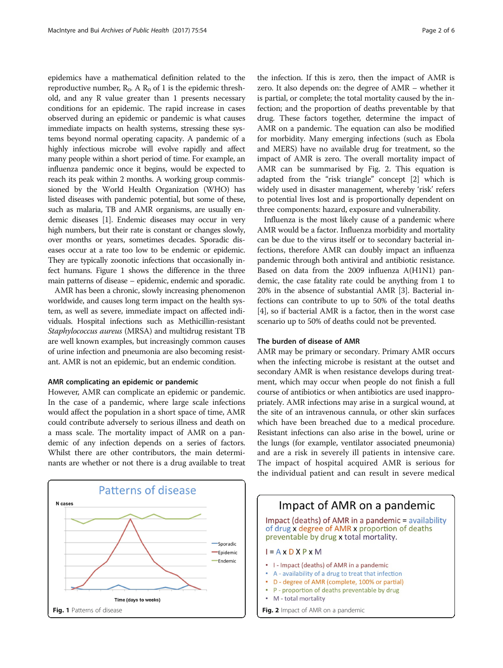epidemics have a mathematical definition related to the reproductive number,  $R_0$ . A  $R_0$  of 1 is the epidemic threshold, and any R value greater than 1 presents necessary conditions for an epidemic. The rapid increase in cases observed during an epidemic or pandemic is what causes immediate impacts on health systems, stressing these systems beyond normal operating capacity. A pandemic of a highly infectious microbe will evolve rapidly and affect many people within a short period of time. For example, an influenza pandemic once it begins, would be expected to reach its peak within 2 months. A working group commissioned by the World Health Organization (WHO) has listed diseases with pandemic potential, but some of these, such as malaria, TB and AMR organisms, are usually endemic diseases [\[1\]](#page-5-0). Endemic diseases may occur in very high numbers, but their rate is constant or changes slowly, over months or years, sometimes decades. Sporadic diseases occur at a rate too low to be endemic or epidemic. They are typically zoonotic infections that occasionally infect humans. Figure 1 shows the difference in the three main patterns of disease – epidemic, endemic and sporadic.

AMR has been a chronic, slowly increasing phenomenon worldwide, and causes long term impact on the health system, as well as severe, immediate impact on affected individuals. Hospital infections such as Methicillin-resistant Staphylococcus aureus (MRSA) and multidrug resistant TB are well known examples, but increasingly common causes of urine infection and pneumonia are also becoming resistant. AMR is not an epidemic, but an endemic condition.

### AMR complicating an epidemic or pandemic

However, AMR can complicate an epidemic or pandemic. In the case of a pandemic, where large scale infections would affect the population in a short space of time, AMR could contribute adversely to serious illness and death on a mass scale. The mortality impact of AMR on a pandemic of any infection depends on a series of factors. Whilst there are other contributors, the main determinants are whether or not there is a drug available to treat



the infection. If this is zero, then the impact of AMR is zero. It also depends on: the degree of AMR – whether it is partial, or complete; the total mortality caused by the infection; and the proportion of deaths preventable by that drug. These factors together, determine the impact of AMR on a pandemic. The equation can also be modified for morbidity. Many emerging infections (such as Ebola and MERS) have no available drug for treatment, so the impact of AMR is zero. The overall mortality impact of AMR can be summarised by Fig. 2. This equation is adapted from the "risk triangle" concept [\[2\]](#page-5-0) which is widely used in disaster management, whereby 'risk' refers to potential lives lost and is proportionally dependent on three components: hazard, exposure and vulnerability.

Influenza is the most likely cause of a pandemic where AMR would be a factor. Influenza morbidity and mortality can be due to the virus itself or to secondary bacterial infections, therefore AMR can doubly impact an influenza pandemic through both antiviral and antibiotic resistance. Based on data from the 2009 influenza A(H1N1) pandemic, the case fatality rate could be anything from 1 to 20% in the absence of substantial AMR [\[3\]](#page-5-0). Bacterial infections can contribute to up to 50% of the total deaths [[4\]](#page-5-0), so if bacterial AMR is a factor, then in the worst case scenario up to 50% of deaths could not be prevented.

# The burden of disease of AMR

AMR may be primary or secondary. Primary AMR occurs when the infecting microbe is resistant at the outset and secondary AMR is when resistance develops during treatment, which may occur when people do not finish a full course of antibiotics or when antibiotics are used inappropriately. AMR infections may arise in a surgical wound, at the site of an intravenous cannula, or other skin surfaces which have been breached due to a medical procedure. Resistant infections can also arise in the bowel, urine or the lungs (for example, ventilator associated pneumonia) and are a risk in severely ill patients in intensive care. The impact of hospital acquired AMR is serious for the individual patient and can result in severe medical

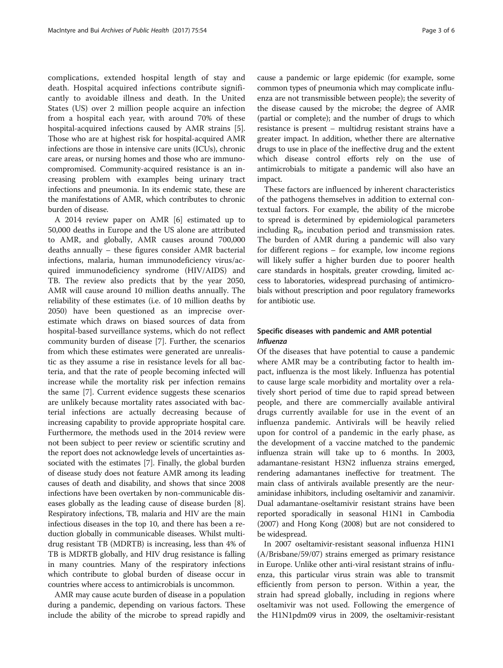complications, extended hospital length of stay and death. Hospital acquired infections contribute significantly to avoidable illness and death. In the United States (US) over 2 million people acquire an infection from a hospital each year, with around 70% of these hospital-acquired infections caused by AMR strains [[5](#page-5-0)]. Those who are at highest risk for hospital-acquired AMR infections are those in intensive care units (ICUs), chronic care areas, or nursing homes and those who are immunocompromised. Community-acquired resistance is an increasing problem with examples being urinary tract infections and pneumonia. In its endemic state, these are the manifestations of AMR, which contributes to chronic burden of disease.

A 2014 review paper on AMR [\[6](#page-5-0)] estimated up to 50,000 deaths in Europe and the US alone are attributed to AMR, and globally, AMR causes around 700,000 deaths annually – these figures consider AMR bacterial infections, malaria, human immunodeficiency virus/acquired immunodeficiency syndrome (HIV/AIDS) and TB. The review also predicts that by the year 2050, AMR will cause around 10 million deaths annually. The reliability of these estimates (i.e. of 10 million deaths by 2050) have been questioned as an imprecise overestimate which draws on biased sources of data from hospital-based surveillance systems, which do not reflect community burden of disease [[7\]](#page-5-0). Further, the scenarios from which these estimates were generated are unrealistic as they assume a rise in resistance levels for all bacteria, and that the rate of people becoming infected will increase while the mortality risk per infection remains the same [\[7](#page-5-0)]. Current evidence suggests these scenarios are unlikely because mortality rates associated with bacterial infections are actually decreasing because of increasing capability to provide appropriate hospital care. Furthermore, the methods used in the 2014 review were not been subject to peer review or scientific scrutiny and the report does not acknowledge levels of uncertainties associated with the estimates [\[7\]](#page-5-0). Finally, the global burden of disease study does not feature AMR among its leading causes of death and disability, and shows that since 2008 infections have been overtaken by non-communicable diseases globally as the leading cause of disease burden [[8](#page-5-0)]. Respiratory infections, TB, malaria and HIV are the main infectious diseases in the top 10, and there has been a reduction globally in communicable diseases. Whilst multidrug resistant TB (MDRTB) is increasing, less than 4% of TB is MDRTB globally, and HIV drug resistance is falling in many countries. Many of the respiratory infections which contribute to global burden of disease occur in countries where access to antimicrobials is uncommon.

AMR may cause acute burden of disease in a population during a pandemic, depending on various factors. These include the ability of the microbe to spread rapidly and

cause a pandemic or large epidemic (for example, some common types of pneumonia which may complicate influenza are not transmissible between people); the severity of the disease caused by the microbe; the degree of AMR (partial or complete); and the number of drugs to which resistance is present – multidrug resistant strains have a greater impact. In addition, whether there are alternative drugs to use in place of the ineffective drug and the extent which disease control efforts rely on the use of antimicrobials to mitigate a pandemic will also have an impact.

These factors are influenced by inherent characteristics of the pathogens themselves in addition to external contextual factors. For example, the ability of the microbe to spread is determined by epidemiological parameters including  $R_0$ , incubation period and transmission rates. The burden of AMR during a pandemic will also vary for different regions – for example, low income regions will likely suffer a higher burden due to poorer health care standards in hospitals, greater crowding, limited access to laboratories, widespread purchasing of antimicrobials without prescription and poor regulatory frameworks for antibiotic use.

# Specific diseases with pandemic and AMR potential Influenza

Of the diseases that have potential to cause a pandemic where AMR may be a contributing factor to health impact, influenza is the most likely. Influenza has potential to cause large scale morbidity and mortality over a relatively short period of time due to rapid spread between people, and there are commercially available antiviral drugs currently available for use in the event of an influenza pandemic. Antivirals will be heavily relied upon for control of a pandemic in the early phase, as the development of a vaccine matched to the pandemic influenza strain will take up to 6 months. In 2003, adamantane-resistant H3N2 influenza strains emerged, rendering adamantanes ineffective for treatment. The main class of antivirals available presently are the neuraminidase inhibitors, including oseltamivir and zanamivir. Dual adamantane-oseltamivir resistant strains have been reported sporadically in seasonal H1N1 in Cambodia (2007) and Hong Kong (2008) but are not considered to be widespread.

In 2007 oseltamivir-resistant seasonal influenza H1N1 (A/Brisbane/59/07) strains emerged as primary resistance in Europe. Unlike other anti-viral resistant strains of influenza, this particular virus strain was able to transmit efficiently from person to person. Within a year, the strain had spread globally, including in regions where oseltamivir was not used. Following the emergence of the H1N1pdm09 virus in 2009, the oseltamivir-resistant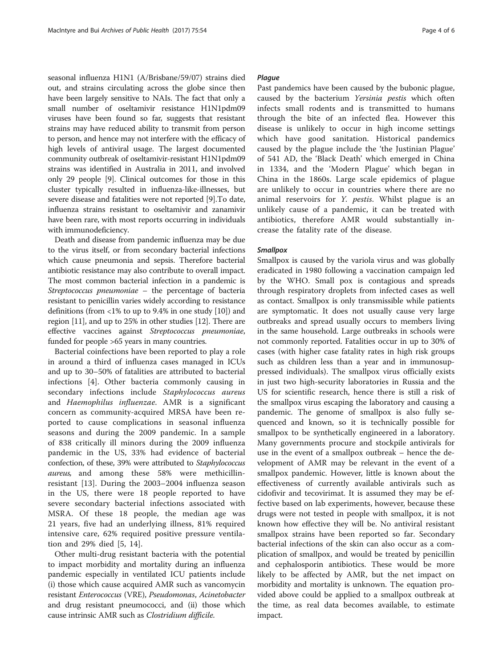seasonal influenza H1N1 (A/Brisbane/59/07) strains died out, and strains circulating across the globe since then have been largely sensitive to NAIs. The fact that only a small number of oseltamivir resistance H1N1pdm09 viruses have been found so far, suggests that resistant strains may have reduced ability to transmit from person to person, and hence may not interfere with the efficacy of high levels of antiviral usage. The largest documented community outbreak of oseltamivir-resistant H1N1pdm09 strains was identified in Australia in 2011, and involved only 29 people [\[9](#page-5-0)]. Clinical outcomes for those in this cluster typically resulted in influenza-like-illnesses, but severe disease and fatalities were not reported [\[9](#page-5-0)].To date, influenza strains resistant to oseltamivir and zanamivir have been rare, with most reports occurring in individuals with immunodeficiency.

Death and disease from pandemic influenza may be due to the virus itself, or from secondary bacterial infections which cause pneumonia and sepsis. Therefore bacterial antibiotic resistance may also contribute to overall impact. The most common bacterial infection in a pandemic is Streptococcus pneumoniae – the percentage of bacteria resistant to penicillin varies widely according to resistance definitions (from <1% to up to 9.4% in one study [\[10\]](#page-5-0)) and region [[11\]](#page-5-0), and up to 25% in other studies [\[12\]](#page-5-0). There are effective vaccines against Streptococcus pneumoniae, funded for people >65 years in many countries.

Bacterial coinfections have been reported to play a role in around a third of influenza cases managed in ICUs and up to 30–50% of fatalities are attributed to bacterial infections [[4](#page-5-0)]. Other bacteria commonly causing in secondary infections include Staphylococcus aureus and Haemophilus influenzae. AMR is a significant concern as community-acquired MRSA have been reported to cause complications in seasonal influenza seasons and during the 2009 pandemic. In a sample of 838 critically ill minors during the 2009 influenza pandemic in the US, 33% had evidence of bacterial confection, of these, 39% were attributed to Staphylococcus aureus, and among these 58% were methicillinresistant [\[13](#page-5-0)]. During the 2003–2004 influenza season in the US, there were 18 people reported to have severe secondary bacterial infections associated with MSRA. Of these 18 people, the median age was 21 years, five had an underlying illness, 81% required intensive care, 62% required positive pressure ventilation and 29% died [\[5](#page-5-0), [14](#page-5-0)].

Other multi-drug resistant bacteria with the potential to impact morbidity and mortality during an influenza pandemic especially in ventilated ICU patients include (i) those which cause acquired AMR such as vancomycin resistant Enterococcus (VRE), Pseudomonas, Acinetobacter and drug resistant pneumococci, and (ii) those which cause intrinsic AMR such as Clostridium difficile.

## Plague

Past pandemics have been caused by the bubonic plague, caused by the bacterium Yersinia pestis which often infects small rodents and is transmitted to humans through the bite of an infected flea. However this disease is unlikely to occur in high income settings which have good sanitation. Historical pandemics caused by the plague include the 'the Justinian Plague' of 541 AD, the 'Black Death' which emerged in China in 1334, and the 'Modern Plague' which began in China in the 1860s. Large scale epidemics of plague are unlikely to occur in countries where there are no animal reservoirs for Y. pestis. Whilst plague is an unlikely cause of a pandemic, it can be treated with antibiotics, therefore AMR would substantially increase the fatality rate of the disease.

## **Smallpox**

Smallpox is caused by the variola virus and was globally eradicated in 1980 following a vaccination campaign led by the WHO. Small pox is contagious and spreads through respiratory droplets from infected cases as well as contact. Smallpox is only transmissible while patients are symptomatic. It does not usually cause very large outbreaks and spread usually occurs to members living in the same household. Large outbreaks in schools were not commonly reported. Fatalities occur in up to 30% of cases (with higher case fatality rates in high risk groups such as children less than a year and in immunosuppressed individuals). The smallpox virus officially exists in just two high-security laboratories in Russia and the US for scientific research, hence there is still a risk of the smallpox virus escaping the laboratory and causing a pandemic. The genome of smallpox is also fully sequenced and known, so it is technically possible for smallpox to be synthetically engineered in a laboratory. Many governments procure and stockpile antivirals for use in the event of a smallpox outbreak – hence the development of AMR may be relevant in the event of a smallpox pandemic. However, little is known about the effectiveness of currently available antivirals such as cidofivir and tecovirimat. It is assumed they may be effective based on lab experiments, however, because these drugs were not tested in people with smallpox, it is not known how effective they will be. No antiviral resistant smallpox strains have been reported so far. Secondary bacterial infections of the skin can also occur as a complication of smallpox, and would be treated by penicillin and cephalosporin antibiotics. These would be more likely to be affected by AMR, but the net impact on morbidity and mortality is unknown. The equation provided above could be applied to a smallpox outbreak at the time, as real data becomes available, to estimate impact.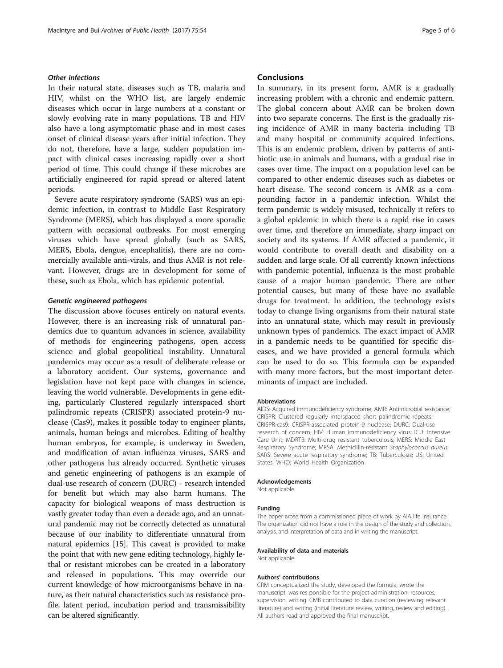## Other infections

In their natural state, diseases such as TB, malaria and HIV, whilst on the WHO list, are largely endemic diseases which occur in large numbers at a constant or slowly evolving rate in many populations. TB and HIV also have a long asymptomatic phase and in most cases onset of clinical disease years after initial infection. They do not, therefore, have a large, sudden population impact with clinical cases increasing rapidly over a short period of time. This could change if these microbes are artificially engineered for rapid spread or altered latent periods.

Severe acute respiratory syndrome (SARS) was an epidemic infection, in contrast to Middle East Respiratory Syndrome (MERS), which has displayed a more sporadic pattern with occasional outbreaks. For most emerging viruses which have spread globally (such as SARS, MERS, Ebola, dengue, encephalitis), there are no commercially available anti-virals, and thus AMR is not relevant. However, drugs are in development for some of these, such as Ebola, which has epidemic potential.

### Genetic engineered pathogens

The discussion above focuses entirely on natural events. However, there is an increasing risk of unnatural pandemics due to quantum advances in science, availability of methods for engineering pathogens, open access science and global geopolitical instability. Unnatural pandemics may occur as a result of deliberate release or a laboratory accident. Our systems, governance and legislation have not kept pace with changes in science, leaving the world vulnerable. Developments in gene editing, particularly Clustered regularly interspaced short palindromic repeats (CRISPR) associated protein-9 nuclease (Cas9), makes it possible today to engineer plants, animals, human beings and microbes. Editing of healthy human embryos, for example, is underway in Sweden, and modification of avian influenza viruses, SARS and other pathogens has already occurred. Synthetic viruses and genetic engineering of pathogens is an example of dual-use research of concern (DURC) - research intended for benefit but which may also harm humans. The capacity for biological weapons of mass destruction is vastly greater today than even a decade ago, and an unnatural pandemic may not be correctly detected as unnatural because of our inability to differentiate unnatural from natural epidemics [[15](#page-5-0)]. This caveat is provided to make the point that with new gene editing technology, highly lethal or resistant microbes can be created in a laboratory and released in populations. This may override our current knowledge of how microorganisms behave in nature, as their natural characteristics such as resistance profile, latent period, incubation period and transmissibility can be altered significantly.

# **Conclusions**

In summary, in its present form, AMR is a gradually increasing problem with a chronic and endemic pattern. The global concern about AMR can be broken down into two separate concerns. The first is the gradually rising incidence of AMR in many bacteria including TB and many hospital or community acquired infections. This is an endemic problem, driven by patterns of antibiotic use in animals and humans, with a gradual rise in cases over time. The impact on a population level can be compared to other endemic diseases such as diabetes or heart disease. The second concern is AMR as a compounding factor in a pandemic infection. Whilst the term pandemic is widely misused, technically it refers to a global epidemic in which there is a rapid rise in cases over time, and therefore an immediate, sharp impact on society and its systems. If AMR affected a pandemic, it would contribute to overall death and disability on a sudden and large scale. Of all currently known infections with pandemic potential, influenza is the most probable cause of a major human pandemic. There are other potential causes, but many of these have no available drugs for treatment. In addition, the technology exists today to change living organisms from their natural state into an unnatural state, which may result in previously unknown types of pandemics. The exact impact of AMR in a pandemic needs to be quantified for specific diseases, and we have provided a general formula which can be used to do so. This formula can be expanded with many more factors, but the most important determinants of impact are included.

#### Abbreviations

AIDS: Acquired immunodeficiency syndrome; AMR: Antimicrobial resistance; CRISPR: Clustered regularly interspaced short palindromic repeats; CRISPR-cas9: CRISPR-associated protein-9 nuclease; DURC: Dual-use research of concern; HIV: Human immunodeficiency virus; ICU: Intensive Care Unit; MDRTB: Multi-drug resistant tuberculosis; MERS: Middle East Respiratory Syndrome; MRSA: Methicillin-resistant Staphylococcus aureus; SARS: Severe acute respiratory syndrome; TB: Tuberculosis; US: United States; WHO: World Health Organization

#### Acknowledgements

Not applicable.

#### Funding

The paper arose from a commissioned piece of work by AIA life insurance. The organization did not have a role in the design of the study and collection, analysis, and interpretation of data and in writing the manuscript.

#### Availability of data and materials

Not applicable.

#### Authors' contributions

CRM conceptualized the study, developed the formula, wrote the manuscript, was res ponsible for the project administration, resources, supervision, writing. CMB contributed to data curation (reviewing relevant literature) and writing (initial literature review, writing, review and editing). All authors read and approved the final manuscript.